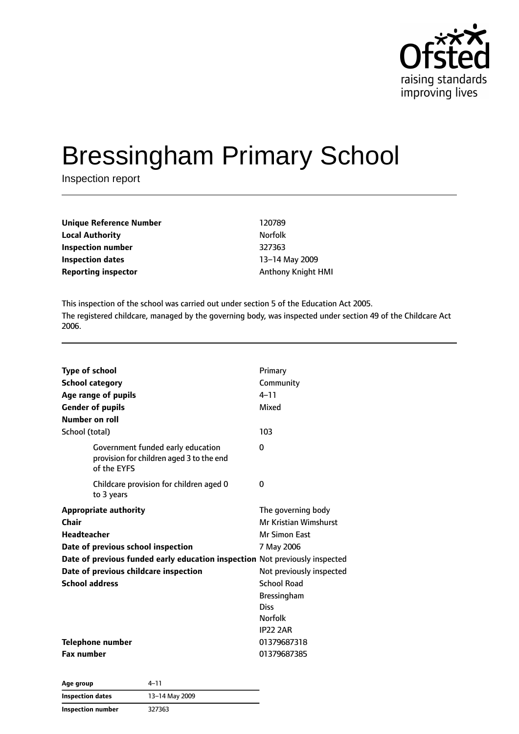

# Bressingham Primary School

Inspection report

| Unique Reference Number | 120789                    |
|-------------------------|---------------------------|
| Local Authority         | <b>Norfolk</b>            |
| Inspection number       | 327363                    |
| Inspection dates        | 13-14 May 2009            |
| Reporting inspector     | <b>Anthony Knight HMI</b> |
|                         |                           |

This inspection of the school was carried out under section 5 of the Education Act 2005. The registered childcare, managed by the governing body, was inspected under section 49 of the Childcare Act 2006.

| <b>Type of school</b><br><b>School category</b><br>Age range of pupils<br><b>Gender of pupils</b><br>Number on roll                                                                                                                         | Primary<br>Community<br>$4 - 11$<br>Mixed                                                                                                                                                       |
|---------------------------------------------------------------------------------------------------------------------------------------------------------------------------------------------------------------------------------------------|-------------------------------------------------------------------------------------------------------------------------------------------------------------------------------------------------|
| School (total)                                                                                                                                                                                                                              | 103                                                                                                                                                                                             |
| Government funded early education<br>provision for children aged 3 to the end<br>of the EYFS                                                                                                                                                | 0                                                                                                                                                                                               |
| Childcare provision for children aged 0<br>to 3 years                                                                                                                                                                                       | 0                                                                                                                                                                                               |
| <b>Appropriate authority</b><br>Chair<br>Headteacher<br>Date of previous school inspection<br>Date of previous funded early education inspection Not previously inspected<br>Date of previous childcare inspection<br><b>School address</b> | The governing body<br>Mr Kristian Wimshurst<br>Mr Simon East<br>7 May 2006<br>Not previously inspected<br><b>School Road</b><br><b>Bressingham</b><br>Diss<br><b>Norfolk</b><br><b>IP22 2AR</b> |
| <b>Telephone number</b><br><b>Fax number</b>                                                                                                                                                                                                | 01379687318<br>01379687385                                                                                                                                                                      |

| Age group               | 4–11           |  |
|-------------------------|----------------|--|
| <b>Inspection dates</b> | 13-14 May 2009 |  |
| Inspection number       | 327363         |  |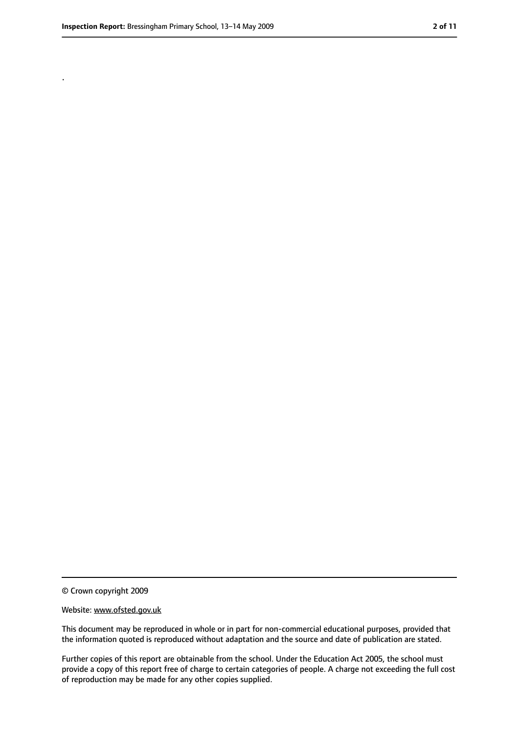.

<sup>©</sup> Crown copyright 2009

Website: www.ofsted.gov.uk

This document may be reproduced in whole or in part for non-commercial educational purposes, provided that the information quoted is reproduced without adaptation and the source and date of publication are stated.

Further copies of this report are obtainable from the school. Under the Education Act 2005, the school must provide a copy of this report free of charge to certain categories of people. A charge not exceeding the full cost of reproduction may be made for any other copies supplied.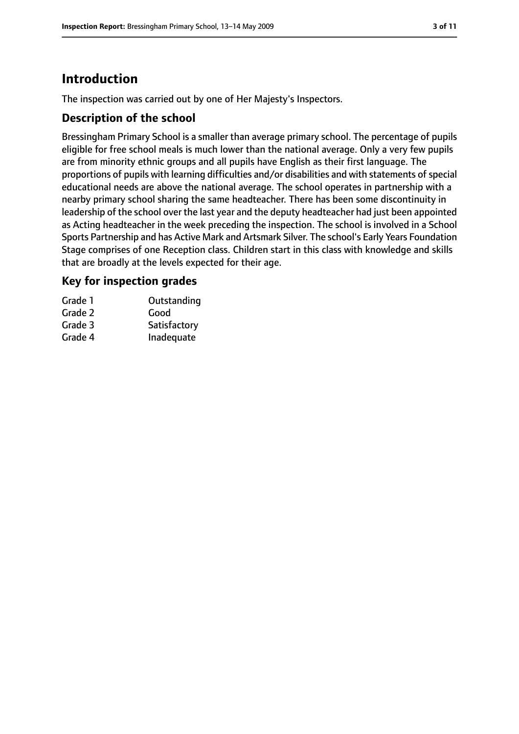# **Introduction**

The inspection was carried out by one of Her Majesty's Inspectors.

#### **Description of the school**

Bressingham Primary School is a smaller than average primary school. The percentage of pupils eligible for free school meals is much lower than the national average. Only a very few pupils are from minority ethnic groups and all pupils have English as their first language. The proportions of pupils with learning difficulties and/or disabilities and with statements of special educational needs are above the national average. The school operates in partnership with a nearby primary school sharing the same headteacher. There has been some discontinuity in leadership of the school over the last year and the deputy headteacher had just been appointed as Acting headteacher in the week preceding the inspection. The school is involved in a School Sports Partnership and has Active Mark and Artsmark Silver. The school's Early Years Foundation Stage comprises of one Reception class. Children start in this class with knowledge and skills that are broadly at the levels expected for their age.

#### **Key for inspection grades**

| Grade 1 | Outstanding  |
|---------|--------------|
| Grade 2 | Good         |
| Grade 3 | Satisfactory |
| Grade 4 | Inadequate   |
|         |              |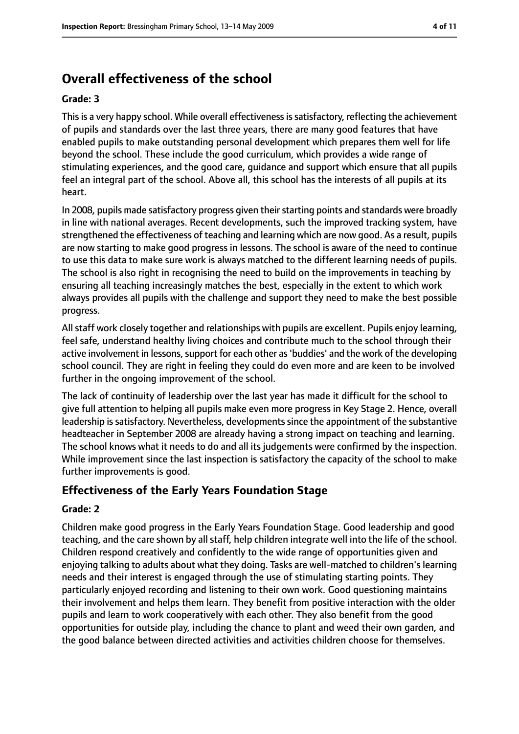# **Overall effectiveness of the school**

#### **Grade: 3**

Thisis a very happy school. While overall effectivenessissatisfactory, reflecting the achievement of pupils and standards over the last three years, there are many good features that have enabled pupils to make outstanding personal development which prepares them well for life beyond the school. These include the good curriculum, which provides a wide range of stimulating experiences, and the good care, guidance and support which ensure that all pupils feel an integral part of the school. Above all, this school has the interests of all pupils at its heart.

In 2008, pupils made satisfactory progress given their starting points and standards were broadly in line with national averages. Recent developments, such the improved tracking system, have strengthened the effectiveness of teaching and learning which are now good. As a result, pupils are now starting to make good progress in lessons. The school is aware of the need to continue to use this data to make sure work is always matched to the different learning needs of pupils. The school is also right in recognising the need to build on the improvements in teaching by ensuring all teaching increasingly matches the best, especially in the extent to which work always provides all pupils with the challenge and support they need to make the best possible progress.

Allstaff work closely together and relationships with pupils are excellent. Pupils enjoy learning, feel safe, understand healthy living choices and contribute much to the school through their active involvement in lessons, support for each other as 'buddies' and the work of the developing school council. They are right in feeling they could do even more and are keen to be involved further in the ongoing improvement of the school.

The lack of continuity of leadership over the last year has made it difficult for the school to give full attention to helping all pupils make even more progress in Key Stage 2. Hence, overall leadership is satisfactory. Nevertheless, developments since the appointment of the substantive headteacher in September 2008 are already having a strong impact on teaching and learning. The school knows what it needs to do and all its judgements were confirmed by the inspection. While improvement since the last inspection is satisfactory the capacity of the school to make further improvements is good.

#### **Effectiveness of the Early Years Foundation Stage**

#### **Grade: 2**

Children make good progress in the Early Years Foundation Stage. Good leadership and good teaching, and the care shown by all staff, help children integrate well into the life of the school. Children respond creatively and confidently to the wide range of opportunities given and enjoying talking to adults about what they doing. Tasks are well-matched to children's learning needs and their interest is engaged through the use of stimulating starting points. They particularly enjoyed recording and listening to their own work. Good questioning maintains their involvement and helps them learn. They benefit from positive interaction with the older pupils and learn to work cooperatively with each other. They also benefit from the good opportunities for outside play, including the chance to plant and weed their own garden, and the good balance between directed activities and activities children choose for themselves.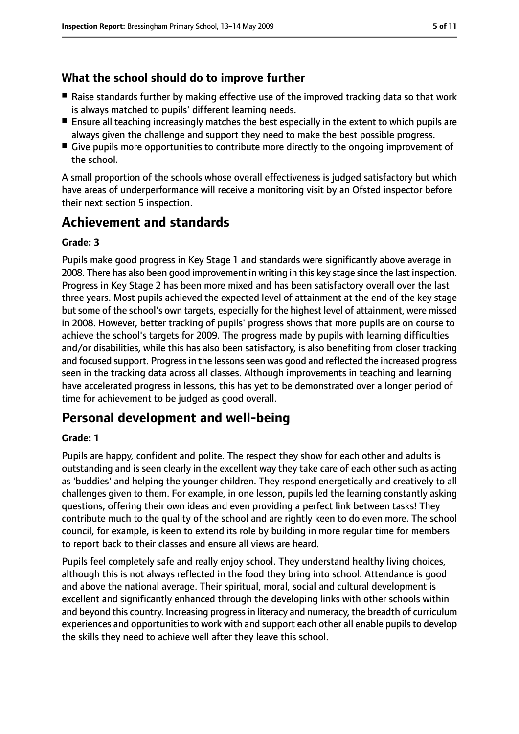#### **What the school should do to improve further**

- Raise standards further by making effective use of the improved tracking data so that work is always matched to pupils' different learning needs.
- Ensure all teaching increasingly matches the best especially in the extent to which pupils are always given the challenge and support they need to make the best possible progress.
- Give pupils more opportunities to contribute more directly to the ongoing improvement of the school.

A small proportion of the schools whose overall effectiveness is judged satisfactory but which have areas of underperformance will receive a monitoring visit by an Ofsted inspector before their next section 5 inspection.

# **Achievement and standards**

#### **Grade: 3**

Pupils make good progress in Key Stage 1 and standards were significantly above average in 2008. There has also been good improvement in writing in this key stage since the last inspection. Progress in Key Stage 2 has been more mixed and has been satisfactory overall over the last three years. Most pupils achieved the expected level of attainment at the end of the key stage but some of the school's own targets, especially for the highest level of attainment, were missed in 2008. However, better tracking of pupils' progress shows that more pupils are on course to achieve the school's targets for 2009. The progress made by pupils with learning difficulties and/or disabilities, while this has also been satisfactory, is also benefiting from closer tracking and focused support. Progress in the lessons seen was good and reflected the increased progress seen in the tracking data across all classes. Although improvements in teaching and learning have accelerated progress in lessons, this has yet to be demonstrated over a longer period of time for achievement to be judged as good overall.

## **Personal development and well-being**

#### **Grade: 1**

Pupils are happy, confident and polite. The respect they show for each other and adults is outstanding and is seen clearly in the excellent way they take care of each other such as acting as 'buddies' and helping the younger children. They respond energetically and creatively to all challenges given to them. For example, in one lesson, pupils led the learning constantly asking questions, offering their own ideas and even providing a perfect link between tasks! They contribute much to the quality of the school and are rightly keen to do even more. The school council, for example, is keen to extend its role by building in more regular time for members to report back to their classes and ensure all views are heard.

Pupils feel completely safe and really enjoy school. They understand healthy living choices, although this is not always reflected in the food they bring into school. Attendance is good and above the national average. Their spiritual, moral, social and cultural development is excellent and significantly enhanced through the developing links with other schools within and beyond this country. Increasing progress in literacy and numeracy, the breadth of curriculum experiences and opportunities to work with and support each other all enable pupils to develop the skills they need to achieve well after they leave this school.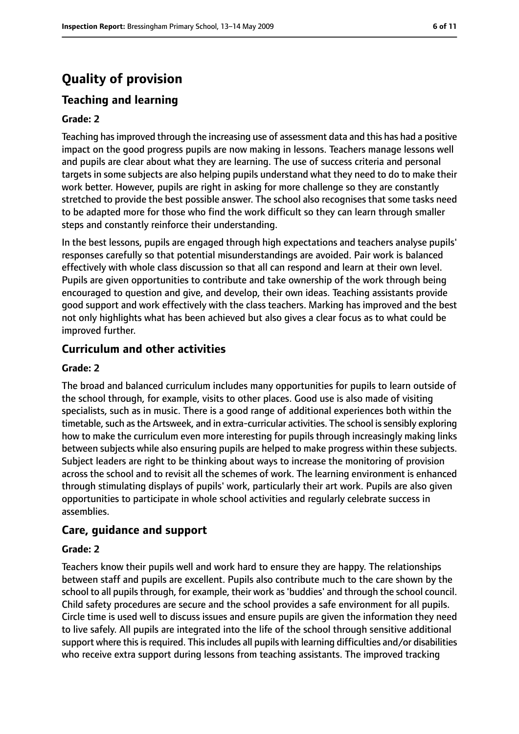# **Quality of provision**

### **Teaching and learning**

#### **Grade: 2**

Teaching hasimproved through the increasing use of assessment data and this has had a positive impact on the good progress pupils are now making in lessons. Teachers manage lessons well and pupils are clear about what they are learning. The use of success criteria and personal targets in some subjects are also helping pupils understand what they need to do to make their work better. However, pupils are right in asking for more challenge so they are constantly stretched to provide the best possible answer. The school also recognises that some tasks need to be adapted more for those who find the work difficult so they can learn through smaller steps and constantly reinforce their understanding.

In the best lessons, pupils are engaged through high expectations and teachers analyse pupils' responses carefully so that potential misunderstandings are avoided. Pair work is balanced effectively with whole class discussion so that all can respond and learn at their own level. Pupils are given opportunities to contribute and take ownership of the work through being encouraged to question and give, and develop, their own ideas. Teaching assistants provide good support and work effectively with the class teachers. Marking has improved and the best not only highlights what has been achieved but also gives a clear focus as to what could be improved further.

#### **Curriculum and other activities**

#### **Grade: 2**

The broad and balanced curriculum includes many opportunities for pupils to learn outside of the school through, for example, visits to other places. Good use is also made of visiting specialists, such as in music. There is a good range of additional experiences both within the timetable, such as the Artsweek, and in extra-curricular activities. The school is sensibly exploring how to make the curriculum even more interesting for pupils through increasingly making links between subjects while also ensuring pupils are helped to make progress within these subjects. Subject leaders are right to be thinking about ways to increase the monitoring of provision across the school and to revisit all the schemes of work. The learning environment is enhanced through stimulating displays of pupils' work, particularly their art work. Pupils are also given opportunities to participate in whole school activities and regularly celebrate success in assemblies.

#### **Care, guidance and support**

#### **Grade: 2**

Teachers know their pupils well and work hard to ensure they are happy. The relationships between staff and pupils are excellent. Pupils also contribute much to the care shown by the school to all pupils through, for example, their work as 'buddies' and through the school council. Child safety procedures are secure and the school provides a safe environment for all pupils. Circle time is used well to discuss issues and ensure pupils are given the information they need to live safely. All pupils are integrated into the life of the school through sensitive additional support where this is required. This includes all pupils with learning difficulties and/or disabilities who receive extra support during lessons from teaching assistants. The improved tracking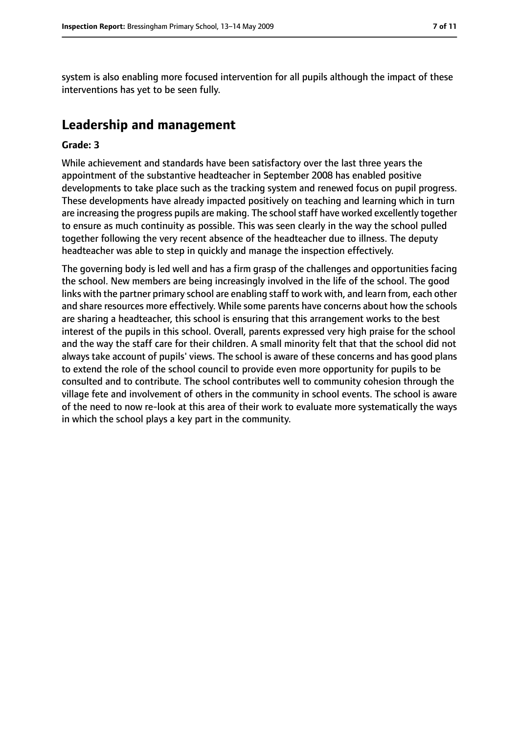system is also enabling more focused intervention for all pupils although the impact of these interventions has yet to be seen fully.

# **Leadership and management**

#### **Grade: 3**

While achievement and standards have been satisfactory over the last three years the appointment of the substantive headteacher in September 2008 has enabled positive developments to take place such as the tracking system and renewed focus on pupil progress. These developments have already impacted positively on teaching and learning which in turn are increasing the progress pupils are making. The school staff have worked excellently together to ensure as much continuity as possible. This was seen clearly in the way the school pulled together following the very recent absence of the headteacher due to illness. The deputy headteacher was able to step in quickly and manage the inspection effectively.

The governing body is led well and has a firm grasp of the challenges and opportunities facing the school. New members are being increasingly involved in the life of the school. The good links with the partner primary school are enabling staff to work with, and learn from, each other and share resources more effectively. While some parents have concerns about how the schools are sharing a headteacher, this school is ensuring that this arrangement works to the best interest of the pupils in this school. Overall, parents expressed very high praise for the school and the way the staff care for their children. A small minority felt that that the school did not always take account of pupils' views. The school is aware of these concerns and has good plans to extend the role of the school council to provide even more opportunity for pupils to be consulted and to contribute. The school contributes well to community cohesion through the village fete and involvement of others in the community in school events. The school is aware of the need to now re-look at this area of their work to evaluate more systematically the ways in which the school plays a key part in the community.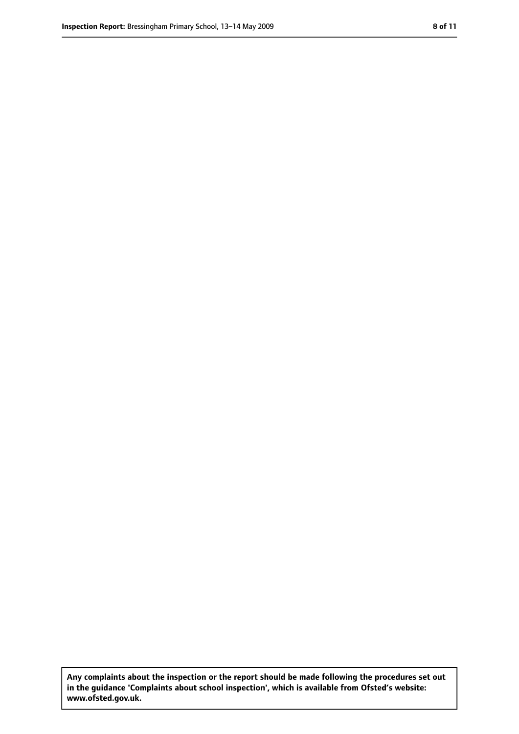**Any complaints about the inspection or the report should be made following the procedures set out in the guidance 'Complaints about school inspection', which is available from Ofsted's website: www.ofsted.gov.uk.**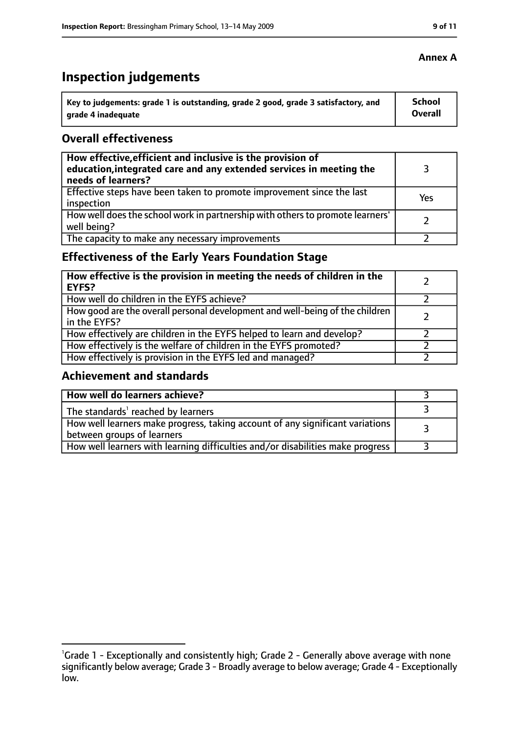# **Inspection judgements**

| Key to judgements: grade 1 is outstanding, grade 2 good, grade 3 satisfactory, and | <b>School</b>  |
|------------------------------------------------------------------------------------|----------------|
| arade 4 inadequate                                                                 | <b>Overall</b> |

#### **Overall effectiveness**

| How effective, efficient and inclusive is the provision of<br>education, integrated care and any extended services in meeting the<br>needs of learners? |     |
|---------------------------------------------------------------------------------------------------------------------------------------------------------|-----|
| Effective steps have been taken to promote improvement since the last<br>inspection                                                                     | Yes |
| How well does the school work in partnership with others to promote learners'<br>well being?                                                            |     |
| The capacity to make any necessary improvements                                                                                                         |     |

### **Effectiveness of the Early Years Foundation Stage**

| How effective is the provision in meeting the needs of children in the<br><b>EYFS?</b>       |  |
|----------------------------------------------------------------------------------------------|--|
| How well do children in the EYFS achieve?                                                    |  |
| How good are the overall personal development and well-being of the children<br>in the EYFS? |  |
| How effectively are children in the EYFS helped to learn and develop?                        |  |
| How effectively is the welfare of children in the EYFS promoted?                             |  |
| How effectively is provision in the EYFS led and managed?                                    |  |

#### **Achievement and standards**

| How well do learners achieve?                                                                               |  |
|-------------------------------------------------------------------------------------------------------------|--|
| The standards <sup>1</sup> reached by learners                                                              |  |
| How well learners make progress, taking account of any significant variations<br>between groups of learners |  |
| How well learners with learning difficulties and/or disabilities make progress                              |  |

#### **Annex A**

<sup>&</sup>lt;sup>1</sup>Grade 1 - Exceptionally and consistently high; Grade 2 - Generally above average with none significantly below average; Grade 3 - Broadly average to below average; Grade 4 - Exceptionally low.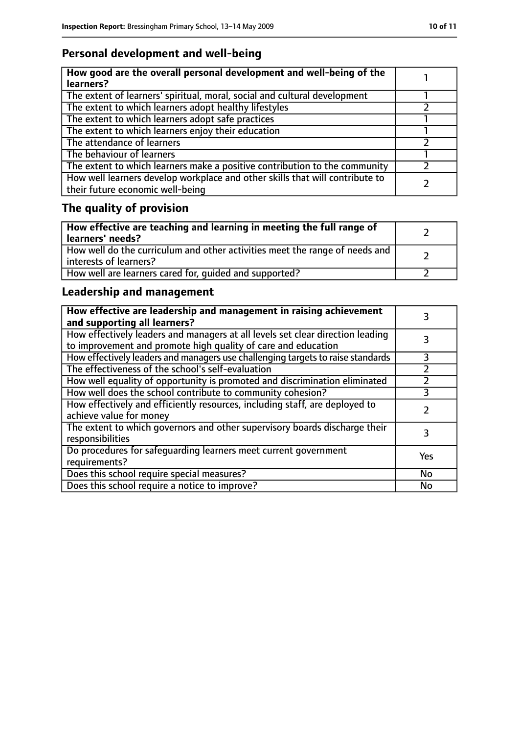# **Personal development and well-being**

| How good are the overall personal development and well-being of the<br>learners?                                 |  |
|------------------------------------------------------------------------------------------------------------------|--|
| The extent of learners' spiritual, moral, social and cultural development                                        |  |
| The extent to which learners adopt healthy lifestyles                                                            |  |
| The extent to which learners adopt safe practices                                                                |  |
| The extent to which learners enjoy their education                                                               |  |
| The attendance of learners                                                                                       |  |
| The behaviour of learners                                                                                        |  |
| The extent to which learners make a positive contribution to the community                                       |  |
| How well learners develop workplace and other skills that will contribute to<br>their future economic well-being |  |

# **The quality of provision**

| How effective are teaching and learning in meeting the full range of<br>learners' needs?              |  |
|-------------------------------------------------------------------------------------------------------|--|
| How well do the curriculum and other activities meet the range of needs and<br>interests of learners? |  |
| How well are learners cared for, quided and supported?                                                |  |

### **Leadership and management**

| How effective are leadership and management in raising achievement<br>and supporting all learners?                                              |               |
|-------------------------------------------------------------------------------------------------------------------------------------------------|---------------|
| How effectively leaders and managers at all levels set clear direction leading<br>to improvement and promote high quality of care and education |               |
| How effectively leaders and managers use challenging targets to raise standards                                                                 | 3             |
| The effectiveness of the school's self-evaluation                                                                                               | $\mathcal{P}$ |
| How well equality of opportunity is promoted and discrimination eliminated                                                                      |               |
| How well does the school contribute to community cohesion?                                                                                      | 3             |
| How effectively and efficiently resources, including staff, are deployed to<br>achieve value for money                                          |               |
| The extent to which governors and other supervisory boards discharge their<br>responsibilities                                                  | 3             |
| Do procedures for safequarding learners meet current government<br>requirements?                                                                | Yes           |
| Does this school require special measures?                                                                                                      | No            |
| Does this school require a notice to improve?                                                                                                   | No            |